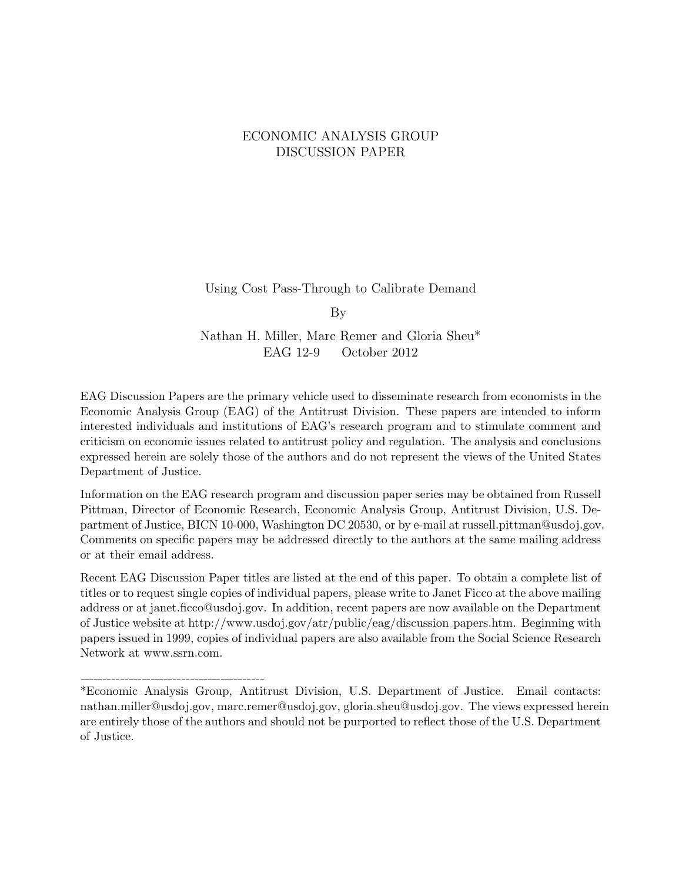#### ECONOMIC ANALYSIS GROUP DISCUSSION PAPER

Using Cost Pass-Through to Calibrate Demand

By

Nathan H. Miller, Marc Remer and Gloria Sheu\* EAG 12-9 October 2012

EAG Discussion Papers are the primary vehicle used to disseminate research from economists in the Economic Analysis Group (EAG) of the Antitrust Division. These papers are intended to inform interested individuals and institutions of EAG's research program and to stimulate comment and criticism on economic issues related to antitrust policy and regulation. The analysis and conclusions expressed herein are solely those of the authors and do not represent the views of the United States Department of Justice.

Information on the EAG research program and discussion paper series may be obtained from Russell Pittman, Director of Economic Research, Economic Analysis Group, Antitrust Division, U.S. Department of Justice, BICN 10-000, Washington DC 20530, or by e-mail at russell.pittman@usdoj.gov. Comments on specific papers may be addressed directly to the authors at the same mailing address or at their email address.

Recent EAG Discussion Paper titles are listed at the end of this paper. To obtain a complete list of titles or to request single copies of individual papers, please write to Janet Ficco at the above mailing address or at janet.ficco@usdoj.gov. In addition, recent papers are now available on the Department of Justice website at http://www.usdoj.gov/atr/public/eag/discussion papers.htm. Beginning with papers issued in 1999, copies of individual papers are also available from the Social Science Research Network at www.ssrn.com.

\*Economic Analysis Group, Antitrust Division, U.S. Department of Justice. Email contacts: nathan.miller@usdoj.gov, marc.remer@usdoj.gov, gloria.sheu@usdoj.gov. The views expressed herein are entirely those of the authors and should not be purported to reflect those of the U.S. Department of Justice.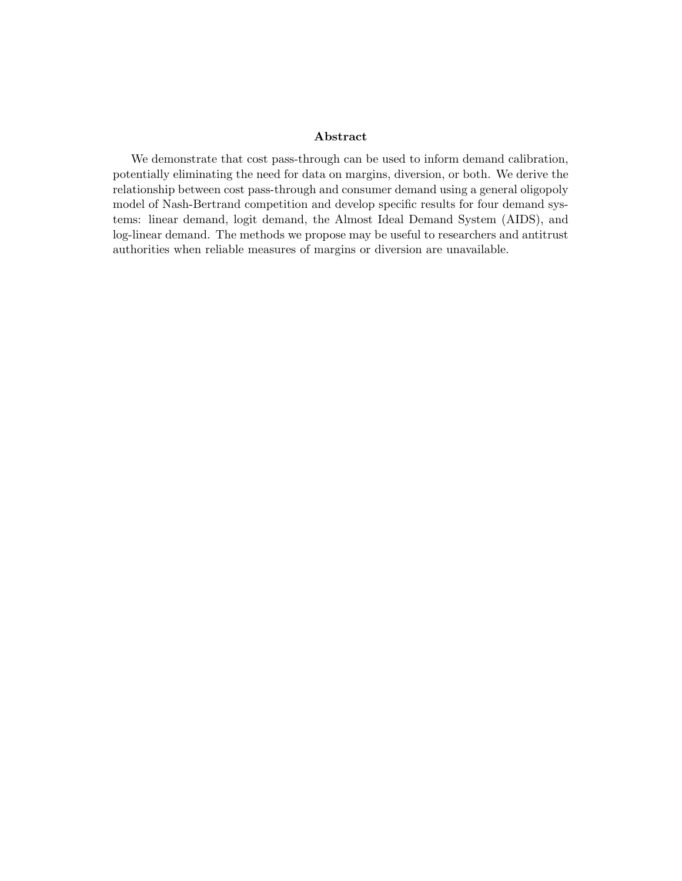#### Abstract

We demonstrate that cost pass-through can be used to inform demand calibration, potentially eliminating the need for data on margins, diversion, or both. We derive the relationship between cost pass-through and consumer demand using a general oligopoly model of Nash-Bertrand competition and develop specific results for four demand systems: linear demand, logit demand, the Almost Ideal Demand System (AIDS), and log-linear demand. The methods we propose may be useful to researchers and antitrust authorities when reliable measures of margins or diversion are unavailable.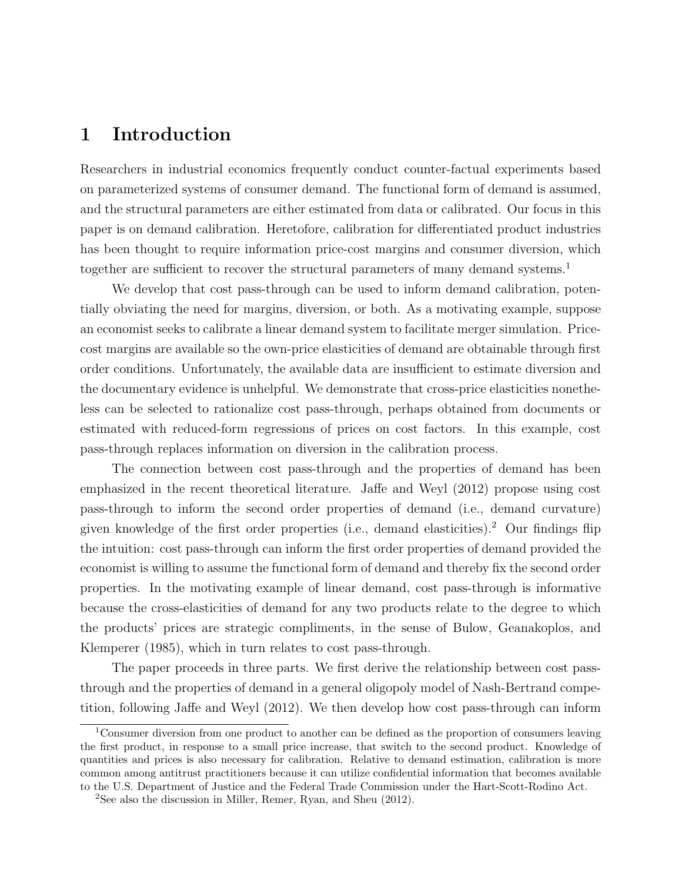## 1 Introduction

Researchers in industrial economics frequently conduct counter-factual experiments based on parameterized systems of consumer demand. The functional form of demand is assumed, and the structural parameters are either estimated from data or calibrated. Our focus in this paper is on demand calibration. Heretofore, calibration for differentiated product industries has been thought to require information price-cost margins and consumer diversion, which together are sufficient to recover the structural parameters of many demand systems.<sup>1</sup>

We develop that cost pass-through can be used to inform demand calibration, potentially obviating the need for margins, diversion, or both. As a motivating example, suppose an economist seeks to calibrate a linear demand system to facilitate merger simulation. Pricecost margins are available so the own-price elasticities of demand are obtainable through first order conditions. Unfortunately, the available data are insufficient to estimate diversion and the documentary evidence is unhelpful. We demonstrate that cross-price elasticities nonetheless can be selected to rationalize cost pass-through, perhaps obtained from documents or estimated with reduced-form regressions of prices on cost factors. In this example, cost pass-through replaces information on diversion in the calibration process.

The connection between cost pass-through and the properties of demand has been emphasized in the recent theoretical literature. Jaffe and Weyl (2012) propose using cost pass-through to inform the second order properties of demand (i.e., demand curvature) given knowledge of the first order properties (i.e., demand elasticities).<sup>2</sup> Our findings flip the intuition: cost pass-through can inform the first order properties of demand provided the economist is willing to assume the functional form of demand and thereby fix the second order properties. In the motivating example of linear demand, cost pass-through is informative because the cross-elasticities of demand for any two products relate to the degree to which the products' prices are strategic compliments, in the sense of Bulow, Geanakoplos, and Klemperer (1985), which in turn relates to cost pass-through.

The paper proceeds in three parts. We first derive the relationship between cost passthrough and the properties of demand in a general oligopoly model of Nash-Bertrand competition, following Jaffe and Weyl (2012). We then develop how cost pass-through can inform

<sup>1</sup>Consumer diversion from one product to another can be defined as the proportion of consumers leaving the first product, in response to a small price increase, that switch to the second product. Knowledge of quantities and prices is also necessary for calibration. Relative to demand estimation, calibration is more common among antitrust practitioners because it can utilize confidential information that becomes available to the U.S. Department of Justice and the Federal Trade Commission under the Hart-Scott-Rodino Act.

<sup>2</sup>See also the discussion in Miller, Remer, Ryan, and Sheu (2012).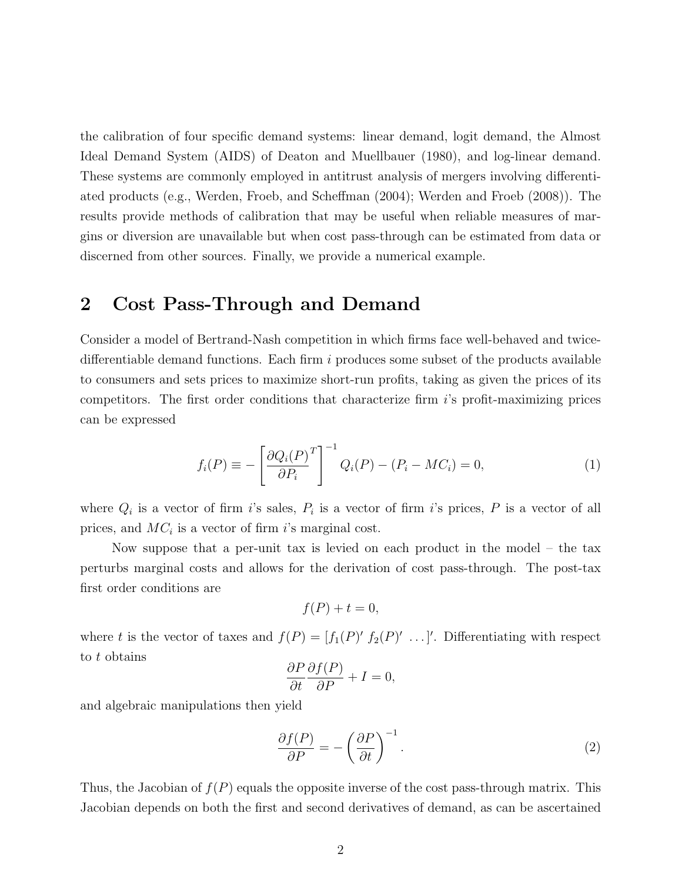the calibration of four specific demand systems: linear demand, logit demand, the Almost Ideal Demand System (AIDS) of Deaton and Muellbauer (1980), and log-linear demand. These systems are commonly employed in antitrust analysis of mergers involving differentiated products (e.g., Werden, Froeb, and Scheffman (2004); Werden and Froeb (2008)). The results provide methods of calibration that may be useful when reliable measures of margins or diversion are unavailable but when cost pass-through can be estimated from data or discerned from other sources. Finally, we provide a numerical example.

### 2 Cost Pass-Through and Demand

Consider a model of Bertrand-Nash competition in which firms face well-behaved and twicedifferentiable demand functions. Each firm  $i$  produces some subset of the products available to consumers and sets prices to maximize short-run profits, taking as given the prices of its competitors. The first order conditions that characterize firm i's profit-maximizing prices can be expressed

$$
f_i(P) \equiv -\left[\frac{\partial Q_i(P)}{\partial P_i}^T\right]^{-1} Q_i(P) - (P_i - MC_i) = 0,\tag{1}
$$

where  $Q_i$  is a vector of firm i's sales,  $P_i$  is a vector of firm i's prices, P is a vector of all prices, and  $MC_i$  is a vector of firm i's marginal cost.

Now suppose that a per-unit tax is levied on each product in the model – the tax perturbs marginal costs and allows for the derivation of cost pass-through. The post-tax first order conditions are

$$
f(P) + t = 0,
$$

where t is the vector of taxes and  $f(P) = [f_1(P)' f_2(P)' \dots ]'$ . Differentiating with respect to t obtains

$$
\frac{\partial P}{\partial t} \frac{\partial f(P)}{\partial P} + I = 0,
$$

and algebraic manipulations then yield

$$
\frac{\partial f(P)}{\partial P} = -\left(\frac{\partial P}{\partial t}\right)^{-1}.\tag{2}
$$

Thus, the Jacobian of  $f(P)$  equals the opposite inverse of the cost pass-through matrix. This Jacobian depends on both the first and second derivatives of demand, as can be ascertained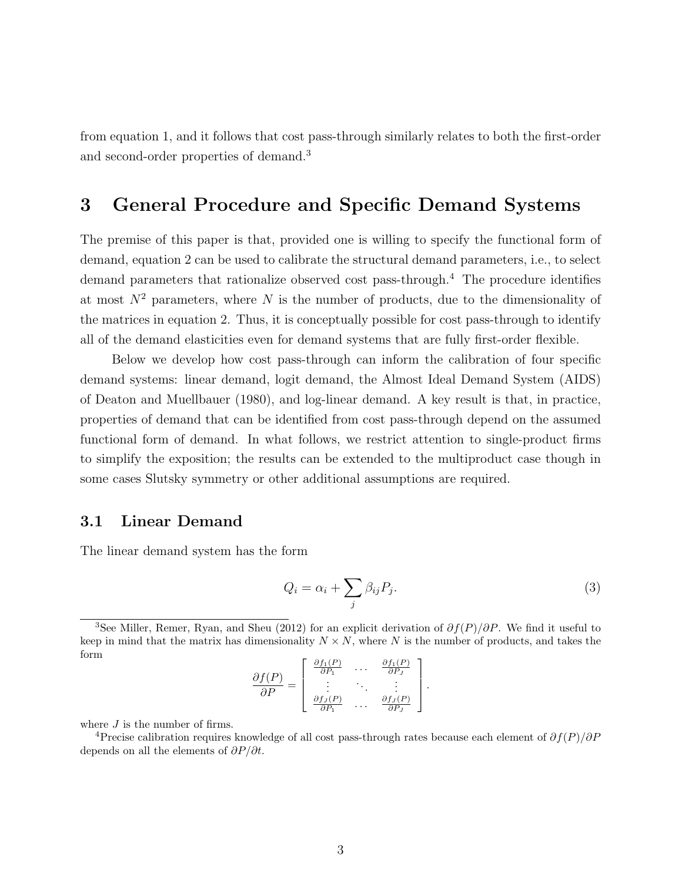from equation 1, and it follows that cost pass-through similarly relates to both the first-order and second-order properties of demand.<sup>3</sup>

# 3 General Procedure and Specific Demand Systems

The premise of this paper is that, provided one is willing to specify the functional form of demand, equation 2 can be used to calibrate the structural demand parameters, i.e., to select demand parameters that rationalize observed cost pass-through.<sup>4</sup> The procedure identifies at most  $N^2$  parameters, where N is the number of products, due to the dimensionality of the matrices in equation 2. Thus, it is conceptually possible for cost pass-through to identify all of the demand elasticities even for demand systems that are fully first-order flexible.

Below we develop how cost pass-through can inform the calibration of four specific demand systems: linear demand, logit demand, the Almost Ideal Demand System (AIDS) of Deaton and Muellbauer (1980), and log-linear demand. A key result is that, in practice, properties of demand that can be identified from cost pass-through depend on the assumed functional form of demand. In what follows, we restrict attention to single-product firms to simplify the exposition; the results can be extended to the multiproduct case though in some cases Slutsky symmetry or other additional assumptions are required.

#### 3.1 Linear Demand

The linear demand system has the form

$$
Q_i = \alpha_i + \sum_j \beta_{ij} P_j. \tag{3}
$$

.

$$
\frac{\partial f(P)}{\partial P} = \left[ \begin{array}{ccc} \frac{\partial f_1(P)}{\partial P_1} & \cdots & \frac{\partial f_1(P)}{\partial P_J} \\ \vdots & \ddots & \vdots \\ \frac{\partial f_J(P)}{\partial P_1} & \cdots & \frac{\partial f_J(P)}{\partial P_J} \end{array} \right]
$$

where  ${\cal J}$  is the number of firms.

<sup>4</sup>Precise calibration requires knowledge of all cost pass-through rates because each element of  $\partial f(P)/\partial P$ depends on all the elements of  $\partial P/\partial t$ .

<sup>&</sup>lt;sup>3</sup>See Miller, Remer, Ryan, and Sheu (2012) for an explicit derivation of  $\partial f(P)/\partial P$ . We find it useful to keep in mind that the matrix has dimensionality  $N \times N$ , where N is the number of products, and takes the form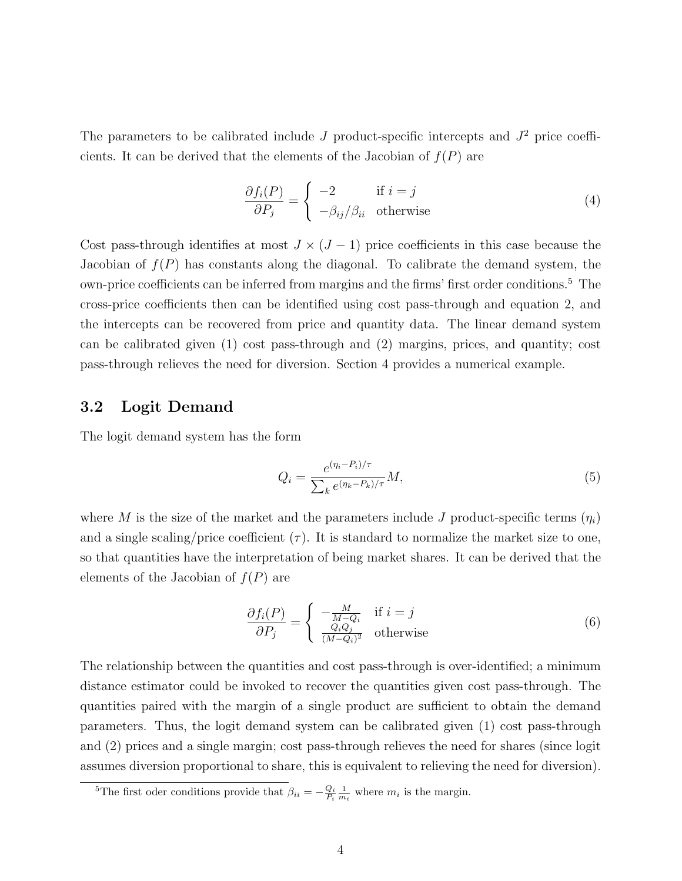The parameters to be calibrated include  $J$  product-specific intercepts and  $J^2$  price coefficients. It can be derived that the elements of the Jacobian of  $f(P)$  are

$$
\frac{\partial f_i(P)}{\partial P_j} = \begin{cases}\n-2 & \text{if } i = j \\
-\beta_{ij}/\beta_{ii} & \text{otherwise}\n\end{cases}
$$
\n(4)

Cost pass-through identifies at most  $J \times (J - 1)$  price coefficients in this case because the Jacobian of  $f(P)$  has constants along the diagonal. To calibrate the demand system, the own-price coefficients can be inferred from margins and the firms' first order conditions.<sup>5</sup> The cross-price coefficients then can be identified using cost pass-through and equation 2, and the intercepts can be recovered from price and quantity data. The linear demand system can be calibrated given (1) cost pass-through and (2) margins, prices, and quantity; cost pass-through relieves the need for diversion. Section 4 provides a numerical example.

#### 3.2 Logit Demand

The logit demand system has the form

$$
Q_i = \frac{e^{(\eta_i - P_i)/\tau}}{\sum_k e^{(\eta_k - P_k)/\tau}} M,
$$
\n
$$
(5)
$$

where M is the size of the market and the parameters include J product-specific terms  $(\eta_i)$ and a single scaling/price coefficient  $(\tau)$ . It is standard to normalize the market size to one, so that quantities have the interpretation of being market shares. It can be derived that the elements of the Jacobian of  $f(P)$  are

$$
\frac{\partial f_i(P)}{\partial P_j} = \begin{cases}\n-\frac{M}{M - Q_i} & \text{if } i = j \\
\frac{Q_i Q_j}{(M - Q_i)^2} & \text{otherwise}\n\end{cases}
$$
\n(6)

The relationship between the quantities and cost pass-through is over-identified; a minimum distance estimator could be invoked to recover the quantities given cost pass-through. The quantities paired with the margin of a single product are sufficient to obtain the demand parameters. Thus, the logit demand system can be calibrated given (1) cost pass-through and (2) prices and a single margin; cost pass-through relieves the need for shares (since logit assumes diversion proportional to share, this is equivalent to relieving the need for diversion).

<sup>&</sup>lt;sup>5</sup>The first oder conditions provide that  $\beta_{ii} = -\frac{Q_i}{P_i} \frac{1}{m_i}$  where  $m_i$  is the margin.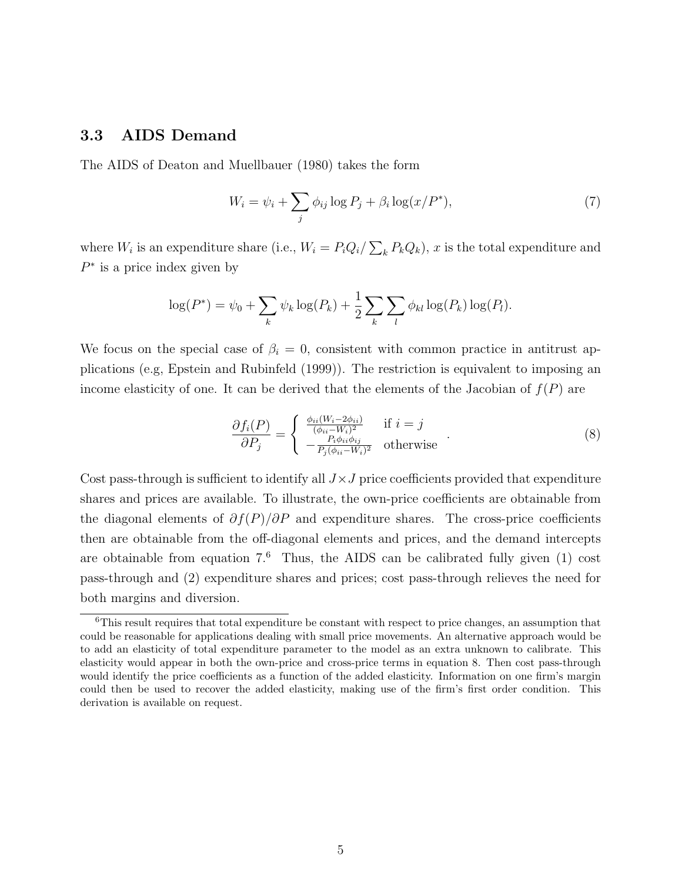#### 3.3 AIDS Demand

The AIDS of Deaton and Muellbauer (1980) takes the form

$$
W_i = \psi_i + \sum_j \phi_{ij} \log P_j + \beta_i \log(x/P^*),\tag{7}
$$

where  $W_i$  is an expenditure share (i.e.,  $W_i = P_i Q_i / \sum_k P_k Q_k$ ), x is the total expenditure and  $P^*$  is a price index given by

$$
\log(P^*) = \psi_0 + \sum_k \psi_k \log(P_k) + \frac{1}{2} \sum_k \sum_l \phi_{kl} \log(P_k) \log(P_l).
$$

We focus on the special case of  $\beta_i = 0$ , consistent with common practice in antitrust applications (e.g, Epstein and Rubinfeld (1999)). The restriction is equivalent to imposing an income elasticity of one. It can be derived that the elements of the Jacobian of  $f(P)$  are

$$
\frac{\partial f_i(P)}{\partial P_j} = \begin{cases} \frac{\phi_{ii}(W_i - 2\phi_{ii})}{(\phi_{ii} - W_i)^2} & \text{if } i = j\\ -\frac{P_i \phi_{ii} \phi_{ij}}{P_j(\phi_{ii} - W_i)^2} & \text{otherwise} \end{cases} (8)
$$

Cost pass-through is sufficient to identify all  $J \times J$  price coefficients provided that expenditure shares and prices are available. To illustrate, the own-price coefficients are obtainable from the diagonal elements of  $\partial f(P)/\partial P$  and expenditure shares. The cross-price coefficients then are obtainable from the off-diagonal elements and prices, and the demand intercepts are obtainable from equation  $7<sup>6</sup>$  Thus, the AIDS can be calibrated fully given (1) cost pass-through and (2) expenditure shares and prices; cost pass-through relieves the need for both margins and diversion.

 ${}^{6}$ This result requires that total expenditure be constant with respect to price changes, an assumption that could be reasonable for applications dealing with small price movements. An alternative approach would be to add an elasticity of total expenditure parameter to the model as an extra unknown to calibrate. This elasticity would appear in both the own-price and cross-price terms in equation 8. Then cost pass-through would identify the price coefficients as a function of the added elasticity. Information on one firm's margin could then be used to recover the added elasticity, making use of the firm's first order condition. This derivation is available on request.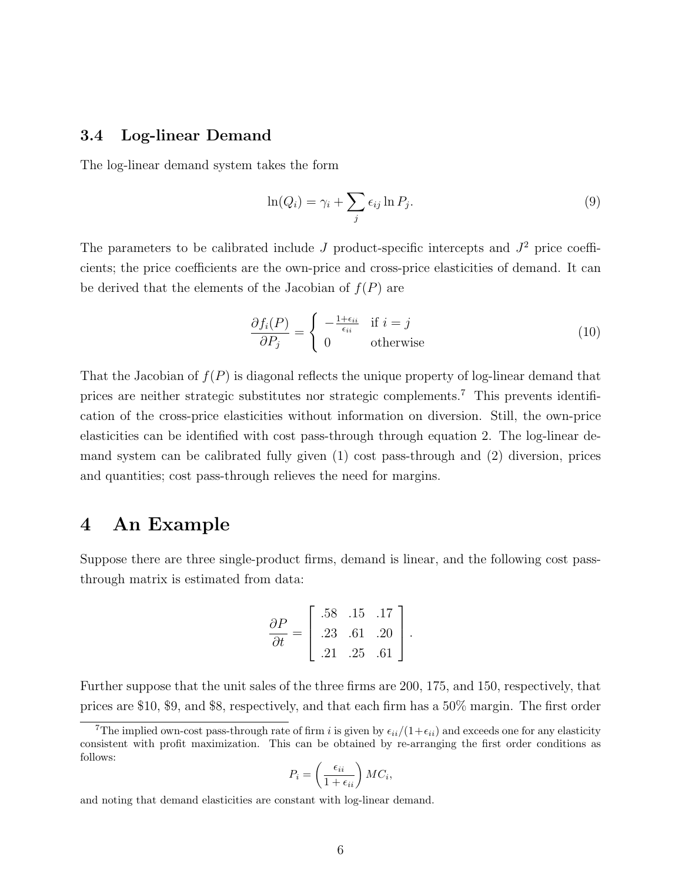### 3.4 Log-linear Demand

The log-linear demand system takes the form

$$
\ln(Q_i) = \gamma_i + \sum_j \epsilon_{ij} \ln P_j.
$$
\n(9)

The parameters to be calibrated include J product-specific intercepts and  $J^2$  price coefficients; the price coefficients are the own-price and cross-price elasticities of demand. It can be derived that the elements of the Jacobian of  $f(P)$  are

$$
\frac{\partial f_i(P)}{\partial P_j} = \begin{cases}\n-\frac{1 + \epsilon_{ii}}{\epsilon_{ii}} & \text{if } i = j \\
0 & \text{otherwise}\n\end{cases}
$$
\n(10)

That the Jacobian of  $f(P)$  is diagonal reflects the unique property of log-linear demand that prices are neither strategic substitutes nor strategic complements.<sup>7</sup> This prevents identification of the cross-price elasticities without information on diversion. Still, the own-price elasticities can be identified with cost pass-through through equation 2. The log-linear demand system can be calibrated fully given (1) cost pass-through and (2) diversion, prices and quantities; cost pass-through relieves the need for margins.

### 4 An Example

Suppose there are three single-product firms, demand is linear, and the following cost passthrough matrix is estimated from data:

$$
\frac{\partial P}{\partial t} = \left[ \begin{array}{rr} .58 & .15 & .17 \\ .23 & .61 & .20 \\ .21 & .25 & .61 \end{array} \right].
$$

Further suppose that the unit sales of the three firms are 200, 175, and 150, respectively, that prices are \$10, \$9, and \$8, respectively, and that each firm has a 50% margin. The first order

$$
P_i = \left(\frac{\epsilon_{ii}}{1 + \epsilon_{ii}}\right)MC_i,
$$

and noting that demand elasticities are constant with log-linear demand.

<sup>&</sup>lt;sup>7</sup>The implied own-cost pass-through rate of firm i is given by  $\epsilon_{ii}/(1+\epsilon_{ii})$  and exceeds one for any elasticity consistent with profit maximization. This can be obtained by re-arranging the first order conditions as follows: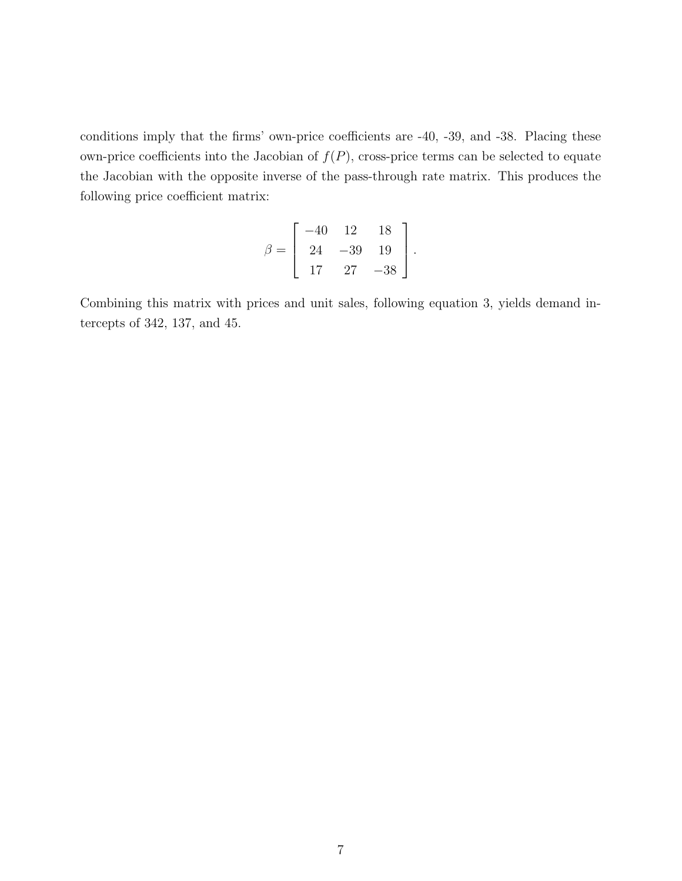conditions imply that the firms' own-price coefficients are -40, -39, and -38. Placing these own-price coefficients into the Jacobian of  $f(P)$ , cross-price terms can be selected to equate the Jacobian with the opposite inverse of the pass-through rate matrix. This produces the following price coefficient matrix:

$$
\beta = \left[ \begin{array}{rrr} -40 & 12 & 18 \\ 24 & -39 & 19 \\ 17 & 27 & -38 \end{array} \right].
$$

Combining this matrix with prices and unit sales, following equation 3, yields demand intercepts of 342, 137, and 45.